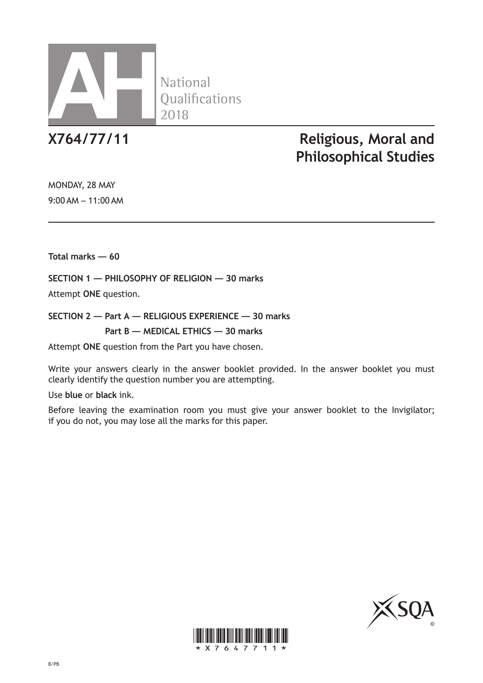

**National** 

# **X764/77/11 Religious, Moral and Philosophical Studies**

MONDAY, 28 MAY 9:00 AM – 11:00 AM

**Total marks — 60**

**SECTION 1 — PHILOSOPHY OF RELIGION — 30 marks**

Attempt **ONE** question.

**SECTION 2 — Part A — RELIGIOUS EXPERIENCE — 30 marks Part B — MEDICAL ETHICS — 30 marks**

Attempt **ONE** question from the Part you have chosen.

Write your answers clearly in the answer booklet provided. In the answer booklet you must clearly identify the question number you are attempting.

Use **blue** or **black** ink.

Before leaving the examination room you must give your answer booklet to the Invigilator; if you do not, you may lose all the marks for this paper.



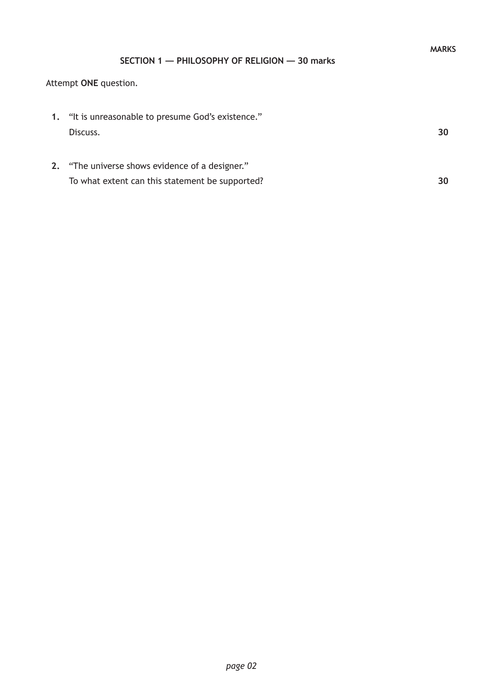## **SECTION 1 — PHILOSOPHY OF RELIGION — 30 marks**

## Attempt **ONE** question.

| 1. "It is unreasonable to presume God's existence." |    |
|-----------------------------------------------------|----|
| Discuss.                                            | 30 |
|                                                     |    |
| 2. "The universe shows evidence of a designer."     |    |
| To what extent can this statement be supported?     |    |
|                                                     |    |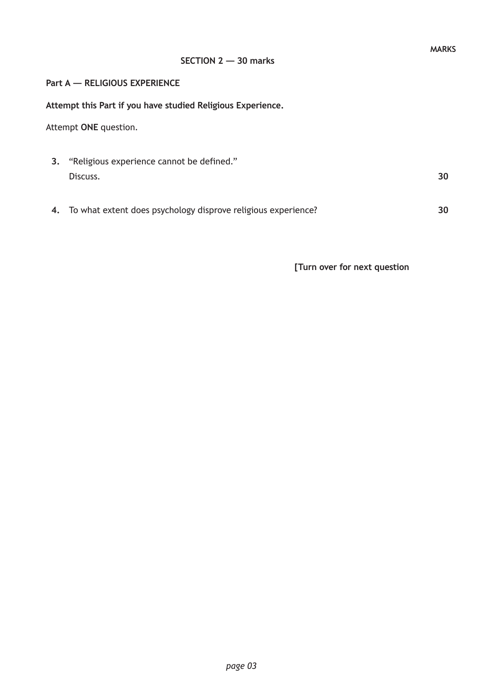#### **SECTION 2 — 30 marks**

#### **Part A — RELIGIOUS EXPERIENCE**

**Attempt this Part if you have studied Religious Experience.**

Attempt **ONE** question.

- **3.** "Religious experience cannot be defined." Discuss. **30**
- **4.** To what extent does psychology disprove religious experience?

**30**

**[Turn over for next question**